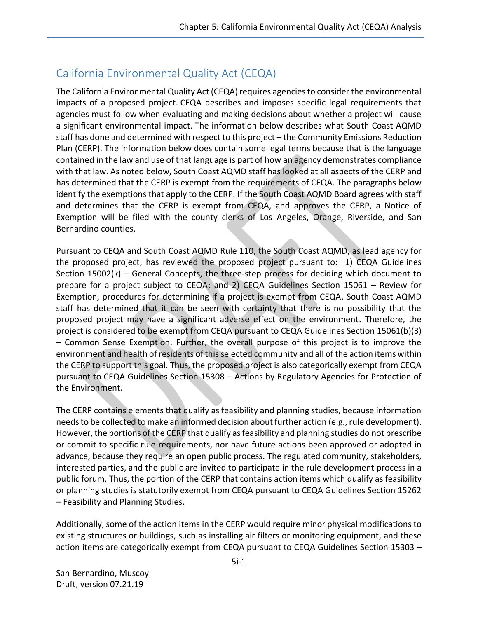## California Environmental Quality Act (CEQA)

The California Environmental Quality Act (CEQA) requires agencies to consider the environmental impacts of a proposed project. CEQA describes and imposes specific legal requirements that agencies must follow when evaluating and making decisions about whether a project will cause a significant environmental impact. The information below describes what South Coast AQMD staff has done and determined with respect to this project – the Community Emissions Reduction Plan (CERP). The information below does contain some legal terms because that is the language contained in the law and use of that language is part of how an agency demonstrates compliance with that law. As noted below, South Coast AQMD staff has looked at all aspects of the CERP and has determined that the CERP is exempt from the requirements of CEQA. The paragraphs below identify the exemptions that apply to the CERP. If the South Coast AQMD Board agrees with staff and determines that the CERP is exempt from CEQA, and approves the CERP, a Notice of Exemption will be filed with the county clerks of Los Angeles, Orange, Riverside, and San Bernardino counties.

Pursuant to CEQA and South Coast AQMD Rule 110, the South Coast AQMD, as lead agency for the proposed project, has reviewed the proposed project pursuant to: 1) CEQA Guidelines Section 15002(k) – General Concepts, the three-step process for deciding which document to prepare for a project subject to CEQA; and 2) CEQA Guidelines Section 15061 – Review for Exemption, procedures for determining if a project is exempt from CEQA. South Coast AQMD staff has determined that it can be seen with certainty that there is no possibility that the proposed project may have a significant adverse effect on the environment. Therefore, the project is considered to be exempt from CEQA pursuant to CEQA Guidelines Section 15061(b)(3) – Common Sense Exemption. Further, the overall purpose of this project is to improve the environment and health of residents of thisselected community and all of the action items within the CERP to support this goal. Thus, the proposed project is also categorically exempt from CEQA pursuant to CEQA Guidelines Section 15308 – Actions by Regulatory Agencies for Protection of the Environment.

The CERP contains elements that qualify as feasibility and planning studies, because information needsto be collected to make an informed decision about further action (e.g., rule development). However, the portions of the CERP that qualify as feasibility and planning studies do not prescribe or commit to specific rule requirements, nor have future actions been approved or adopted in advance, because they require an open public process. The regulated community, stakeholders, interested parties, and the public are invited to participate in the rule development process in a public forum. Thus, the portion of the CERP that contains action items which qualify as feasibility or planning studies is statutorily exempt from CEQA pursuant to CEQA Guidelines Section 15262 – Feasibility and Planning Studies.

Additionally, some of the action items in the CERP would require minor physical modifications to existing structures or buildings, such as installing air filters or monitoring equipment, and these action items are categorically exempt from CEQA pursuant to CEQA Guidelines Section 15303 –